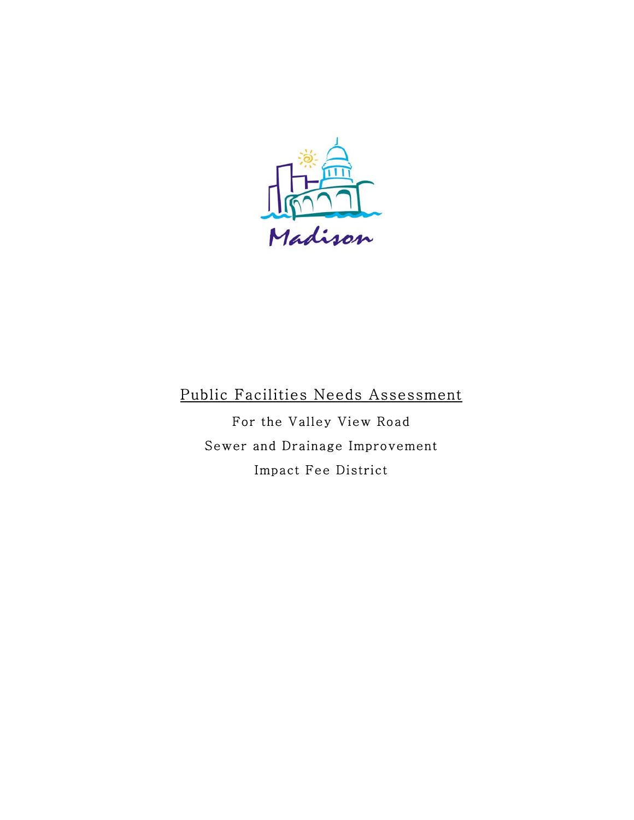

# Public Facilities Needs Assessment

For the Valley View Road Sewer and Drainage Improvement Impact Fee District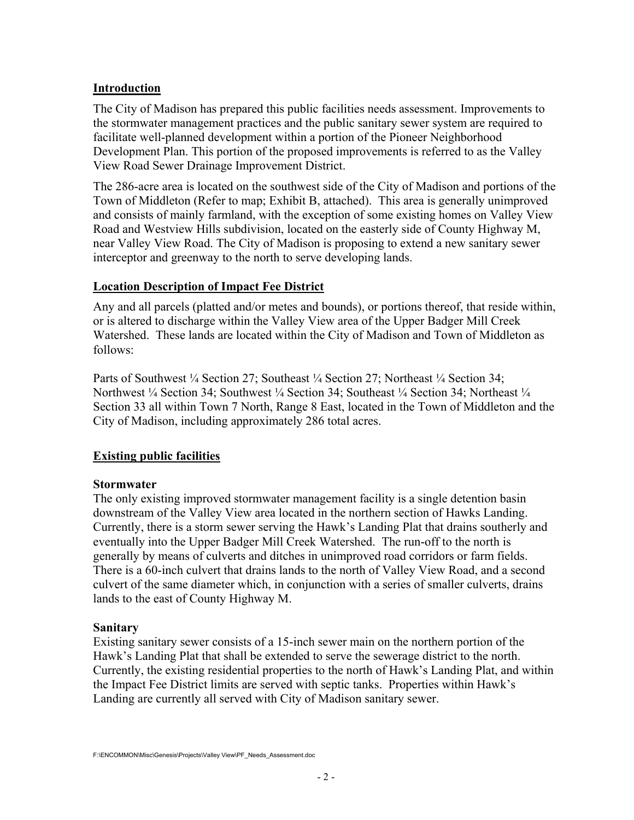## **Introduction**

The City of Madison has prepared this public facilities needs assessment. Improvements to the stormwater management practices and the public sanitary sewer system are required to facilitate well-planned development within a portion of the Pioneer Neighborhood Development Plan. This portion of the proposed improvements is referred to as the Valley View Road Sewer Drainage Improvement District.

The 286-acre area is located on the southwest side of the City of Madison and portions of the Town of Middleton (Refer to map; Exhibit B, attached). This area is generally unimproved and consists of mainly farmland, with the exception of some existing homes on Valley View Road and Westview Hills subdivision, located on the easterly side of County Highway M, near Valley View Road. The City of Madison is proposing to extend a new sanitary sewer interceptor and greenway to the north to serve developing lands.

### **Location Description of Impact Fee District**

Any and all parcels (platted and/or metes and bounds), or portions thereof, that reside within, or is altered to discharge within the Valley View area of the Upper Badger Mill Creek Watershed. These lands are located within the City of Madison and Town of Middleton as follows:

Parts of Southwest ¼ Section 27; Southeast ¼ Section 27; Northeast ¼ Section 34; Northwest ¼ Section 34; Southwest ¼ Section 34; Southeast ¼ Section 34; Northeast ¼ Section 33 all within Town 7 North, Range 8 East, located in the Town of Middleton and the City of Madison, including approximately 286 total acres.

# **Existing public facilities**

### **Stormwater**

The only existing improved stormwater management facility is a single detention basin downstream of the Valley View area located in the northern section of Hawks Landing. Currently, there is a storm sewer serving the Hawk's Landing Plat that drains southerly and eventually into the Upper Badger Mill Creek Watershed. The run-off to the north is generally by means of culverts and ditches in unimproved road corridors or farm fields. There is a 60-inch culvert that drains lands to the north of Valley View Road, and a second culvert of the same diameter which, in conjunction with a series of smaller culverts, drains lands to the east of County Highway M.

### **Sanitary**

Existing sanitary sewer consists of a 15-inch sewer main on the northern portion of the Hawk's Landing Plat that shall be extended to serve the sewerage district to the north. Currently, the existing residential properties to the north of Hawk's Landing Plat, and within the Impact Fee District limits are served with septic tanks. Properties within Hawk's Landing are currently all served with City of Madison sanitary sewer.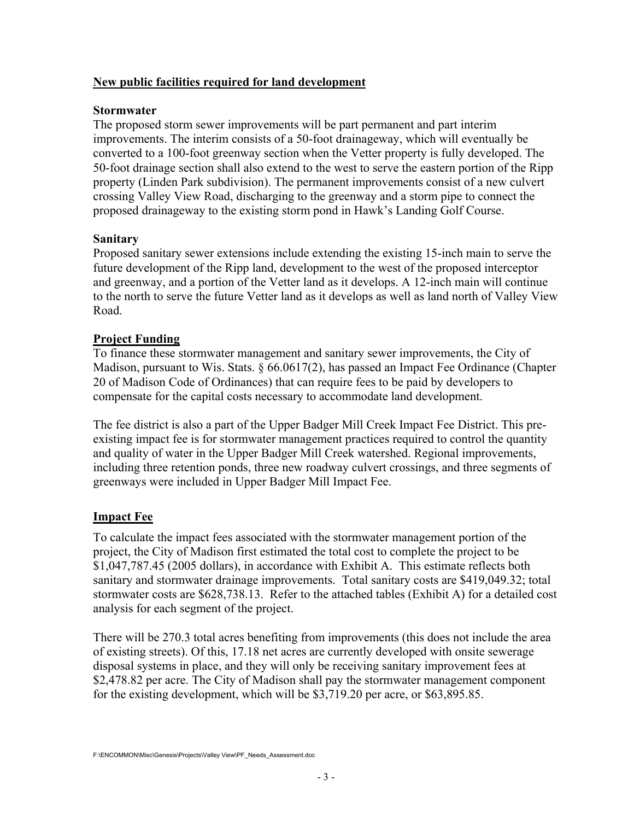### **New public facilities required for land development**

#### **Stormwater**

The proposed storm sewer improvements will be part permanent and part interim improvements. The interim consists of a 50-foot drainageway, which will eventually be converted to a 100-foot greenway section when the Vetter property is fully developed. The 50-foot drainage section shall also extend to the west to serve the eastern portion of the Ripp property (Linden Park subdivision). The permanent improvements consist of a new culvert crossing Valley View Road, discharging to the greenway and a storm pipe to connect the proposed drainageway to the existing storm pond in Hawk's Landing Golf Course.

### **Sanitary**

Proposed sanitary sewer extensions include extending the existing 15-inch main to serve the future development of the Ripp land, development to the west of the proposed interceptor and greenway, and a portion of the Vetter land as it develops. A 12-inch main will continue to the north to serve the future Vetter land as it develops as well as land north of Valley View Road.

### **Project Funding**

To finance these stormwater management and sanitary sewer improvements, the City of Madison, pursuant to Wis. Stats. § 66.0617(2), has passed an Impact Fee Ordinance (Chapter 20 of Madison Code of Ordinances) that can require fees to be paid by developers to compensate for the capital costs necessary to accommodate land development.

The fee district is also a part of the Upper Badger Mill Creek Impact Fee District. This preexisting impact fee is for stormwater management practices required to control the quantity and quality of water in the Upper Badger Mill Creek watershed. Regional improvements, including three retention ponds, three new roadway culvert crossings, and three segments of greenways were included in Upper Badger Mill Impact Fee.

# **Impact Fee**

To calculate the impact fees associated with the stormwater management portion of the project, the City of Madison first estimated the total cost to complete the project to be \$1,047,787.45 (2005 dollars), in accordance with Exhibit A. This estimate reflects both sanitary and stormwater drainage improvements. Total sanitary costs are \$419,049.32; total stormwater costs are \$628,738.13. Refer to the attached tables (Exhibit A) for a detailed cost analysis for each segment of the project.

There will be 270.3 total acres benefiting from improvements (this does not include the area of existing streets). Of this, 17.18 net acres are currently developed with onsite sewerage disposal systems in place, and they will only be receiving sanitary improvement fees at \$2,478.82 per acre. The City of Madison shall pay the stormwater management component for the existing development, which will be \$3,719.20 per acre, or \$63,895.85.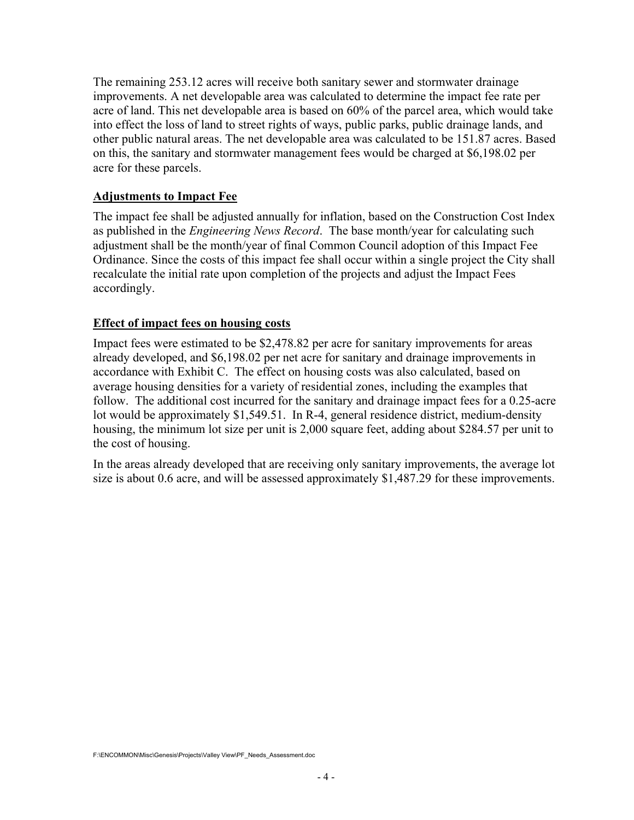The remaining 253.12 acres will receive both sanitary sewer and stormwater drainage improvements. A net developable area was calculated to determine the impact fee rate per acre of land. This net developable area is based on 60% of the parcel area, which would take into effect the loss of land to street rights of ways, public parks, public drainage lands, and other public natural areas. The net developable area was calculated to be 151.87 acres. Based on this, the sanitary and stormwater management fees would be charged at \$6,198.02 per acre for these parcels.

#### **Adjustments to Impact Fee**

The impact fee shall be adjusted annually for inflation, based on the Construction Cost Index as published in the *Engineering News Record*. The base month/year for calculating such adjustment shall be the month/year of final Common Council adoption of this Impact Fee Ordinance. Since the costs of this impact fee shall occur within a single project the City shall recalculate the initial rate upon completion of the projects and adjust the Impact Fees accordingly.

#### **Effect of impact fees on housing costs**

Impact fees were estimated to be \$2,478.82 per acre for sanitary improvements for areas already developed, and \$6,198.02 per net acre for sanitary and drainage improvements in accordance with Exhibit C. The effect on housing costs was also calculated, based on average housing densities for a variety of residential zones, including the examples that follow. The additional cost incurred for the sanitary and drainage impact fees for a 0.25-acre lot would be approximately \$1,549.51. In R-4, general residence district, medium-density housing, the minimum lot size per unit is 2,000 square feet, adding about \$284.57 per unit to the cost of housing.

In the areas already developed that are receiving only sanitary improvements, the average lot size is about 0.6 acre, and will be assessed approximately \$1,487.29 for these improvements.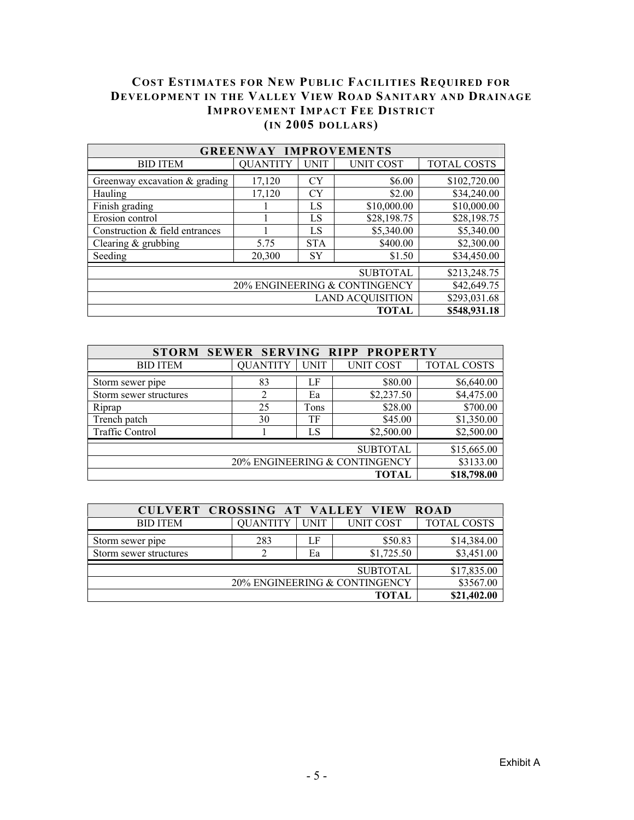## **COST ESTIMATES FOR NEW PUBLIC FACILITIES REQUIRED FOR DEVELOPMENT IN THE VALLEY VIEW ROAD SANITARY AND DRAINAGE IMPROVEMENT IMPACT FEE DISTRICT (IN 2005 DOLLARS)**

| <b>GREENWAY IMPROVEMENTS</b>    |                    |             |                  |                    |
|---------------------------------|--------------------|-------------|------------------|--------------------|
| <b>BID ITEM</b>                 | <b>QUANTITY</b>    | <b>UNIT</b> | <b>UNIT COST</b> | <b>TOTAL COSTS</b> |
| Greenway excavation $&$ grading | 17,120             | <b>CY</b>   | \$6.00           | \$102,720.00       |
| Hauling                         | 17,120             | <b>CY</b>   | \$2.00           | \$34,240.00        |
| Finish grading                  |                    | LS          | \$10,000.00      | \$10,000.00        |
| Erosion control                 | LS                 |             | \$28,198.75      | \$28,198.75        |
| Construction & field entrances  | LS                 |             | \$5,340.00       | \$5,340.00         |
| Clearing $&$ grubbing           | <b>STA</b><br>5.75 |             | \$400.00         | \$2,300.00         |
| Seeding                         | 20,300             | SY          | \$1.50           | \$34,450.00        |
|                                 | \$213,248.75       |             |                  |                    |
| 20% ENGINEERING & CONTINGENCY   |                    |             |                  | \$42,649.75        |
| <b>LAND ACQUISITION</b>         |                    |             |                  | \$293,031.68       |
| TOTAL                           |                    |             |                  | \$548,931.18       |

| STORM SEWER SERVING RIPP PROPERTY |                 |             |                  |                    |
|-----------------------------------|-----------------|-------------|------------------|--------------------|
| <b>BID ITEM</b>                   | <b>QUANTITY</b> | <b>UNIT</b> | <b>UNIT COST</b> | <b>TOTAL COSTS</b> |
| Storm sewer pipe                  | 83              | LF          | \$80.00          | \$6,640.00         |
| Storm sewer structures            | 2               | Ea          | \$2,237.50       | \$4,475.00         |
| Riprap                            | 25              | Tons        | \$28.00          | \$700.00           |
| Trench patch                      | 30              | TF          | \$45.00          | \$1,350.00         |
| <b>Traffic Control</b>            |                 | LS          | \$2,500.00       | \$2,500.00         |
|                                   | \$15,665.00     |             |                  |                    |
| 20% ENGINEERING & CONTINGENCY     | \$3133.00       |             |                  |                    |
| \$18,798.00<br>TOTAL              |                 |             |                  |                    |

| CULVERT CROSSING AT VALLEY VIEW |                 |             |            | <b>ROAD</b>        |
|---------------------------------|-----------------|-------------|------------|--------------------|
| <b>BID ITEM</b>                 | <b>QUANTITY</b> | <b>UNIT</b> | UNIT COST  | <b>TOTAL COSTS</b> |
| Storm sewer pipe                | 283             | LF          | \$50.83    | \$14,384.00        |
| Storm sewer structures          |                 | Ea          | \$1,725.50 | \$3,451.00         |
|                                 | \$17,835.00     |             |            |                    |
| 20% ENGINEERING & CONTINGENCY   |                 |             | \$3567.00  |                    |
| TOTAL                           |                 |             |            | \$21,402.00        |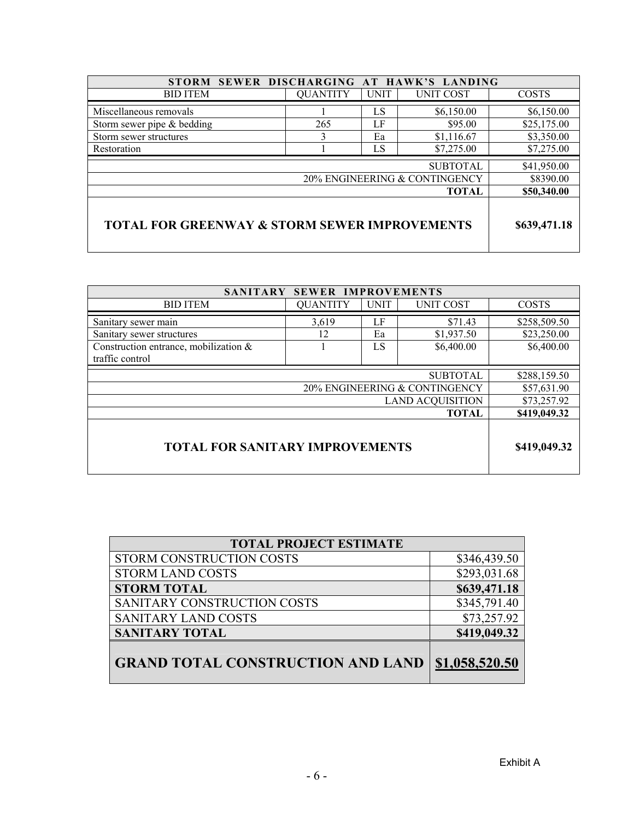| STORM SEWER DISCHARGING AT HAWK'S LANDING                                |                 |             |             |              |
|--------------------------------------------------------------------------|-----------------|-------------|-------------|--------------|
| <b>BID ITEM</b>                                                          | <b>QUANTITY</b> | <b>UNIT</b> | UNIT COST   | <b>COSTS</b> |
| Miscellaneous removals                                                   |                 | LS          | \$6,150.00  | \$6,150.00   |
| Storm sewer pipe & bedding                                               | 265             | LF          | \$95.00     | \$25,175.00  |
| Storm sewer structures                                                   | 3               | Ea          | \$1,116.67  | \$3,350.00   |
| Restoration                                                              |                 | LS          | \$7,275.00  | \$7,275.00   |
| <b>SUBTOTAL</b>                                                          |                 |             | \$41,950.00 |              |
| 20% ENGINEERING & CONTINGENCY                                            |                 |             | \$8390.00   |              |
| <b>TOTAL</b>                                                             |                 |             |             | \$50,340.00  |
| <b>TOTAL FOR GREENWAY &amp; STORM SEWER IMPROVEMENTS</b><br>\$639,471.18 |                 |             |             |              |

| SANITARY SEWER IMPROVEMENTS            |                 |                  |                  |              |  |
|----------------------------------------|-----------------|------------------|------------------|--------------|--|
| <b>BID ITEM</b>                        | <b>QUANTITY</b> | <b>UNIT</b>      | <b>UNIT COST</b> | <b>COSTS</b> |  |
| Sanitary sewer main                    | 3,619           | LF               | \$71.43          | \$258,509.50 |  |
| Sanitary sewer structures              | 12              | \$1,937.50<br>Ea |                  |              |  |
| Construction entrance, mobilization &  |                 | LS               | \$6,400.00       | \$6,400.00   |  |
| traffic control                        |                 |                  |                  |              |  |
| <b>SUBTOTAL</b>                        |                 |                  |                  | \$288,159.50 |  |
| 20% ENGINEERING & CONTINGENCY          |                 |                  |                  | \$57,631.90  |  |
| <b>LAND ACQUISITION</b>                |                 |                  |                  | \$73,257.92  |  |
| <b>TOTAL</b>                           |                 |                  |                  | \$419,049.32 |  |
| <b>TOTAL FOR SANITARY IMPROVEMENTS</b> | \$419,049.32    |                  |                  |              |  |

| <b>TOTAL PROJECT ESTIMATE</b>            |                |  |  |
|------------------------------------------|----------------|--|--|
| STORM CONSTRUCTION COSTS                 | \$346,439.50   |  |  |
| <b>STORM LAND COSTS</b>                  | \$293,031.68   |  |  |
| <b>STORM TOTAL</b>                       | \$639,471.18   |  |  |
| SANITARY CONSTRUCTION COSTS              | \$345,791.40   |  |  |
| <b>SANITARY LAND COSTS</b>               | \$73,257.92    |  |  |
| <b>SANITARY TOTAL</b>                    | \$419,049.32   |  |  |
| <b>GRAND TOTAL CONSTRUCTION AND LAND</b> | \$1,058,520.50 |  |  |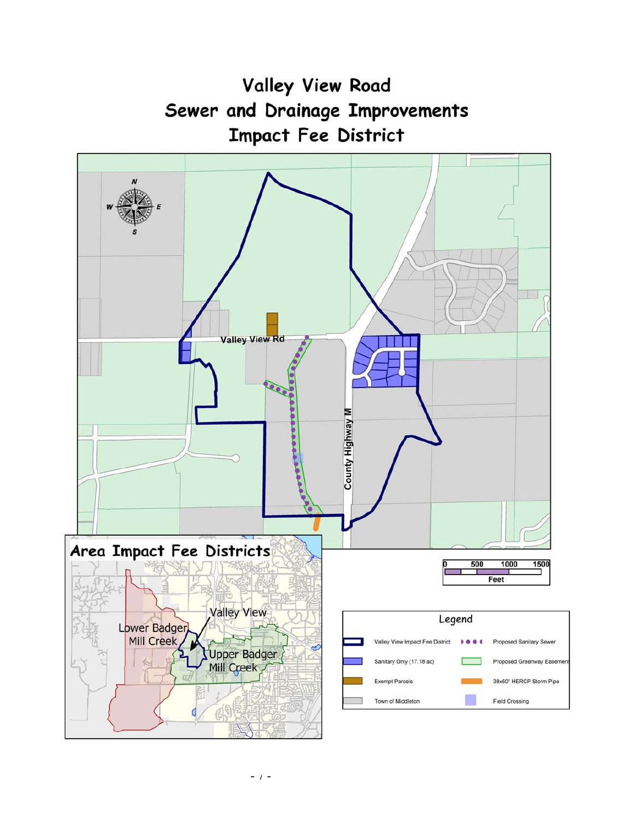